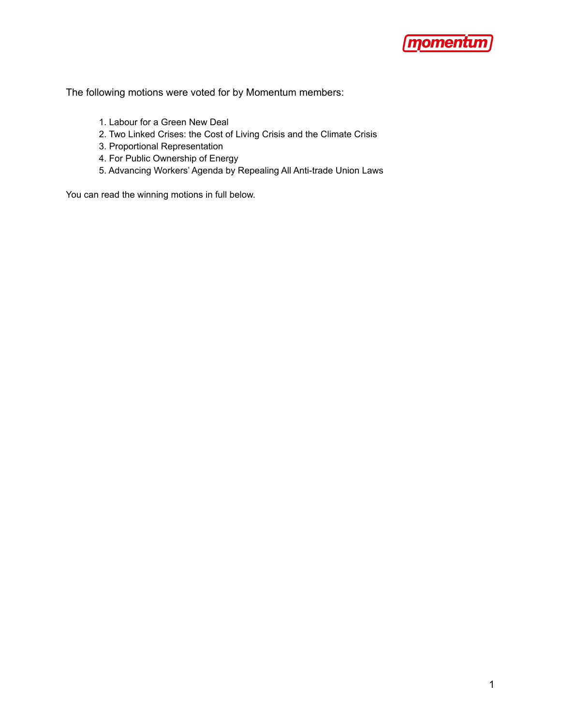

The following motions were voted for by Momentum members:

- 1. Labour for a Green New Deal
- 2. Two Linked Crises: the Cost of Living Crisis and the Climate Crisis
- 3. Proportional Representation
- 4. For Public Ownership of Energy
- 5. Advancing Workers' Agenda by Repealing All Anti-trade Union Laws

You can read the winning motions in full below.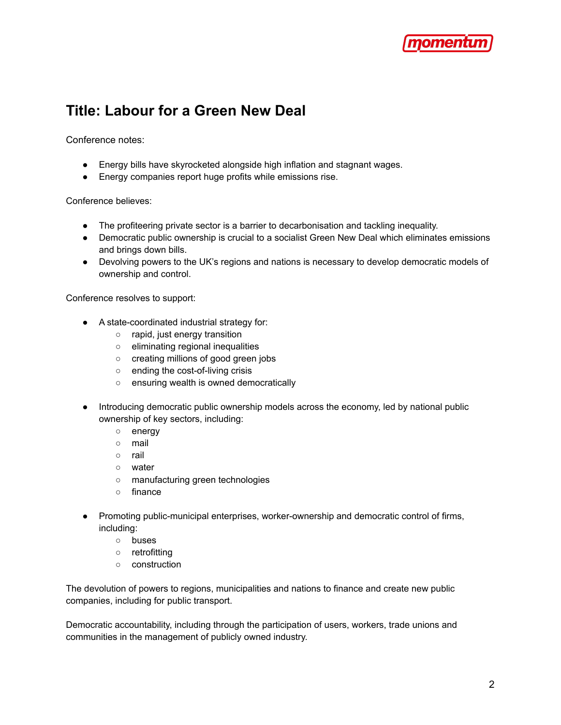

### **Title: Labour for a Green New Deal**

Conference notes:

- Energy bills have skyrocketed alongside high inflation and stagnant wages.
- Energy companies report huge profits while emissions rise.

Conference believes:

- The profiteering private sector is a barrier to decarbonisation and tackling inequality.
- Democratic public ownership is crucial to a socialist Green New Deal which eliminates emissions and brings down bills.
- Devolving powers to the UK's regions and nations is necessary to develop democratic models of ownership and control.

Conference resolves to support:

- A state-coordinated industrial strategy for:
	- rapid, just energy transition
	- eliminating regional inequalities
	- creating millions of good green jobs
	- ending the cost-of-living crisis
	- ensuring wealth is owned democratically
- Introducing democratic public ownership models across the economy, led by national public ownership of key sectors, including:
	- energy
	- mail
	- rail
	- water
	- manufacturing green technologies
	- finance
- Promoting public-municipal enterprises, worker-ownership and democratic control of firms, including:
	- buses
	- retrofitting
	- construction

The devolution of powers to regions, municipalities and nations to finance and create new public companies, including for public transport.

Democratic accountability, including through the participation of users, workers, trade unions and communities in the management of publicly owned industry.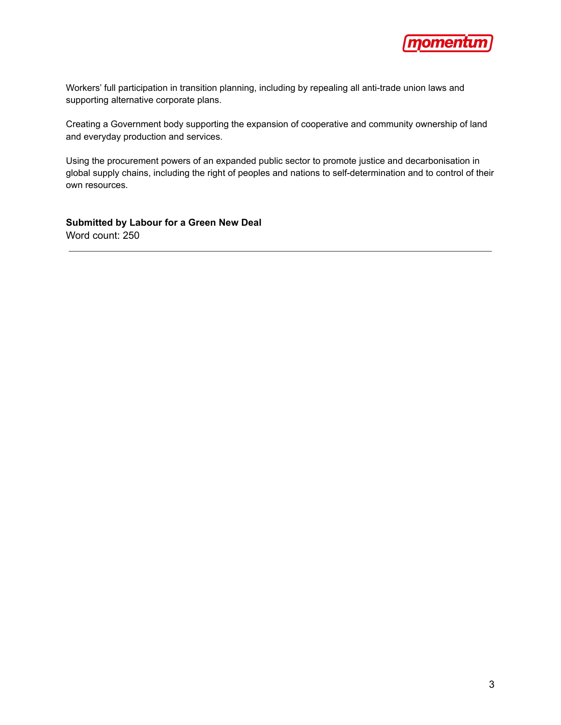

Workers' full participation in transition planning, including by repealing all anti-trade union laws and supporting alternative corporate plans.

Creating a Government body supporting the expansion of cooperative and community ownership of land and everyday production and services.

Using the procurement powers of an expanded public sector to promote justice and decarbonisation in global supply chains, including the right of peoples and nations to self-determination and to control of their own resources.

**Submitted by Labour for a Green New Deal** Word count: 250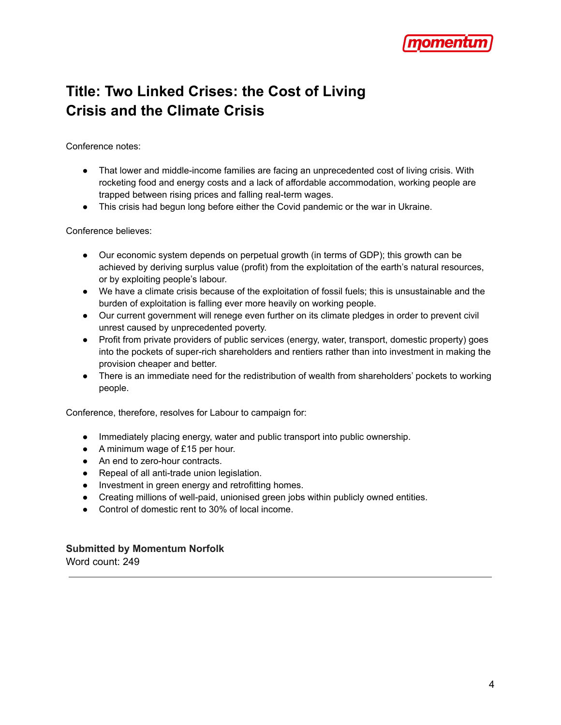

# **Title: Two Linked Crises: the Cost of Living Crisis and the Climate Crisis**

Conference notes:

- That lower and middle-income families are facing an unprecedented cost of living crisis. With rocketing food and energy costs and a lack of affordable accommodation, working people are trapped between rising prices and falling real-term wages.
- This crisis had begun long before either the Covid pandemic or the war in Ukraine.

Conference believes:

- Our economic system depends on perpetual growth (in terms of GDP); this growth can be achieved by deriving surplus value (profit) from the exploitation of the earth's natural resources, or by exploiting people's labour.
- We have a climate crisis because of the exploitation of fossil fuels; this is unsustainable and the burden of exploitation is falling ever more heavily on working people.
- Our current government will renege even further on its climate pledges in order to prevent civil unrest caused by unprecedented poverty.
- Profit from private providers of public services (energy, water, transport, domestic property) goes into the pockets of super-rich shareholders and rentiers rather than into investment in making the provision cheaper and better.
- There is an immediate need for the redistribution of wealth from shareholders' pockets to working people.

Conference, therefore, resolves for Labour to campaign for:

- Immediately placing energy, water and public transport into public ownership.
- A minimum wage of £15 per hour.
- An end to zero-hour contracts.
- Repeal of all anti-trade union legislation.
- Investment in green energy and retrofitting homes.
- Creating millions of well-paid, unionised green jobs within publicly owned entities.
- Control of domestic rent to 30% of local income.

#### **Submitted by Momentum Norfolk**

Word count: 249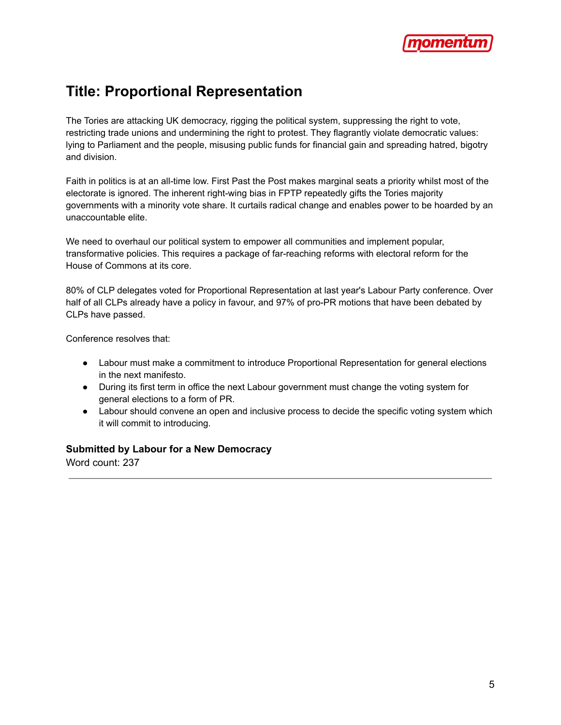

### **Title: Proportional Representation**

The Tories are attacking UK democracy, rigging the political system, suppressing the right to vote, restricting trade unions and undermining the right to protest. They flagrantly violate democratic values: lying to Parliament and the people, misusing public funds for financial gain and spreading hatred, bigotry and division.

Faith in politics is at an all-time low. First Past the Post makes marginal seats a priority whilst most of the electorate is ignored. The inherent right-wing bias in FPTP repeatedly gifts the Tories majority governments with a minority vote share. It curtails radical change and enables power to be hoarded by an unaccountable elite.

We need to overhaul our political system to empower all communities and implement popular, transformative policies. This requires a package of far-reaching reforms with electoral reform for the House of Commons at its core.

80% of CLP delegates voted for Proportional Representation at last year's Labour Party conference. Over half of all CLPs already have a policy in favour, and 97% of pro-PR motions that have been debated by CLPs have passed.

Conference resolves that:

- Labour must make a commitment to introduce Proportional Representation for general elections in the next manifesto.
- During its first term in office the next Labour government must change the voting system for general elections to a form of PR.
- Labour should convene an open and inclusive process to decide the specific voting system which it will commit to introducing.

#### **Submitted by Labour for a New Democracy**

Word count: 237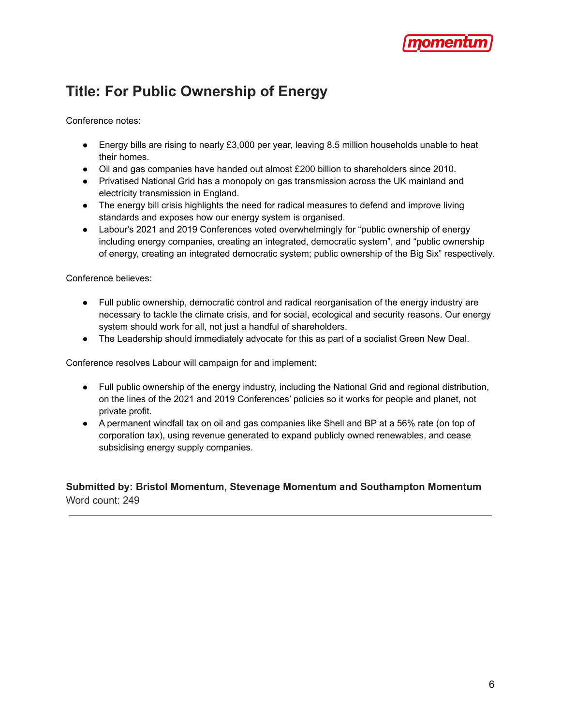

## **Title: For Public Ownership of Energy**

Conference notes:

- Energy bills are rising to nearly £3,000 per year, leaving 8.5 million households unable to heat their homes.
- Oil and gas companies have handed out almost £200 billion to shareholders since 2010.
- Privatised National Grid has a monopoly on gas transmission across the UK mainland and electricity transmission in England.
- The energy bill crisis highlights the need for radical measures to defend and improve living standards and exposes how our energy system is organised.
- Labour's 2021 and 2019 Conferences voted overwhelmingly for "public ownership of energy including energy companies, creating an integrated, democratic system", and "public ownership of energy, creating an integrated democratic system; public ownership of the Big Six" respectively.

Conference believes:

- Full public ownership, democratic control and radical reorganisation of the energy industry are necessary to tackle the climate crisis, and for social, ecological and security reasons. Our energy system should work for all, not just a handful of shareholders.
- The Leadership should immediately advocate for this as part of a socialist Green New Deal.

Conference resolves Labour will campaign for and implement:

- Full public ownership of the energy industry, including the National Grid and regional distribution, on the lines of the 2021 and 2019 Conferences' policies so it works for people and planet, not private profit.
- A permanent windfall tax on oil and gas companies like Shell and BP at a 56% rate (on top of corporation tax), using revenue generated to expand publicly owned renewables, and cease subsidising energy supply companies.

**Submitted by: Bristol Momentum, Stevenage Momentum and Southampton Momentum** Word count: 249